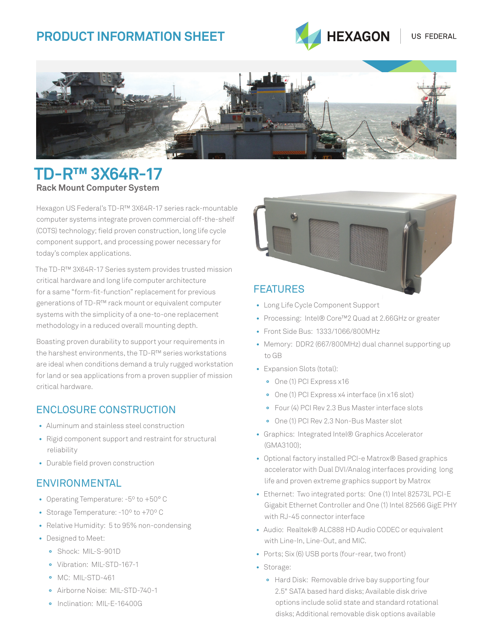# **Product Information SHEET**





# **TD-R™ 3X64R-17 Rack Mount Computer System**

Hexagon US Federal's TD-R™ 3X64R-17 series rack-mountable computer systems integrate proven commercial off-the-shelf (COTS) technology; field proven construction, long life cycle component support, and processing power necessary for today's complex applications.

The TD-R™ 3X64R-17 Series system provides trusted mission critical hardware and long life computer architecture for a same "form-fit-function" replacement for previous generations of TD-R™ rack mount or equivalent computer systems with the simplicity of a one-to-one replacement methodology in a reduced overall mounting depth.

Boasting proven durability to support your requirements in the harshest environments, the TD-R™ series workstations are ideal when conditions demand a truly rugged workstation for land or sea applications from a proven supplier of mission critical hardware.

### Enclosure Construction

- Aluminum and stainless steel construction
- Rigid component support and restraint for structural reliability
- Durable field proven construction

### **ENVIRONMENTAL**

- Operating Temperature: -5º to +50° C
- Storage Temperature: -10º to +70º C
- Relative Humidity: 5 to 95% non-condensing
- Designed to Meet:
	- **°** Shock: MIL-S-901D
	- **°** Vibration: MIL-STD-167-1
	- **°** MC: MIL-STD-461
	- **°** Airborne Noise: MIL-STD-740-1
	- **°** Inclination: MIL-E-16400G



### **FFATURFS**

- Long Life Cycle Component Support
- Processing: Intel® Core™2 Quad at 2.66GHz or greater
- Front Side Bus: 1333/1066/800MHz
- Memory: DDR2 (667/800MHz) dual channel supporting up to GB
- Expansion Slots (total):
	- **°** One (1) PCI Express x16
	- **°** One (1) PCI Express x4 interface (in x16 slot)
	- **°** Four (4) PCI Rev 2.3 Bus Master interface slots
	- **°** One (1) PCI Rev 2.3 Non-Bus Master slot
- Graphics: Integrated Intel® Graphics Accelerator (GMA3100);
- Optional factory installed PCI-e Matrox® Based graphics accelerator with Dual DVI/Analog interfaces providing long life and proven extreme graphics support by Matrox
- Ethernet: Two integrated ports: One (1) Intel 82573L PCI-E Gigabit Ethernet Controller and One (1) Intel 82566 GigE PHY with RJ-45 connector interface
- Audio: Realtek® ALC888 HD Audio CODEC or equivalent with Line-In, Line-Out, and MIC.
- Ports; Six (6) USB ports (four-rear, two front)
- Storage:
	- **°** Hard Disk: Removable drive bay supporting four 2.5" SATA based hard disks; Available disk drive options include solid state and standard rotational disks; Additional removable disk options available